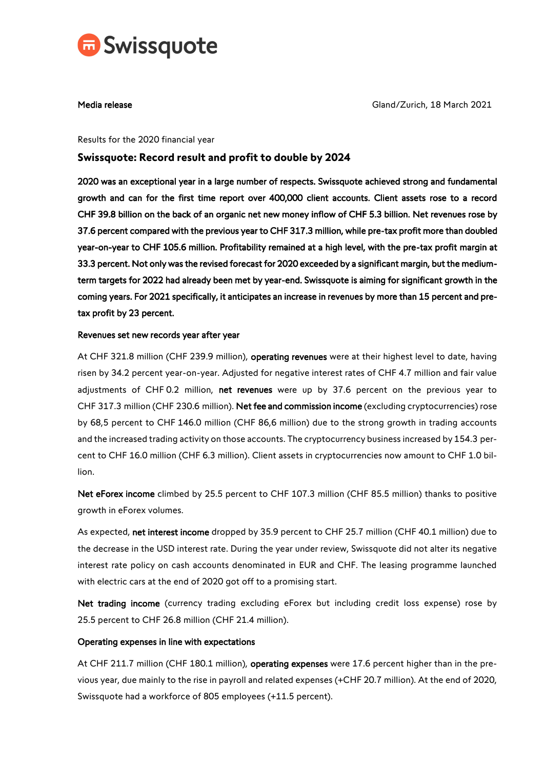

Media release Gland/Zurich, 18 March 2021

#### Results for the 2020 financial year

# **Swissquote: Record result and profit to double by 2024**

2020 was an exceptional year in a large number of respects. Swissquote achieved strong and fundamental growth and can for the first time report over 400,000 client accounts. Client assets rose to a record CHF 39.8 billion on the back of an organic net new money inflow of CHF 5.3 billion. Net revenues rose by 37.6 percent compared with the previous year to CHF 317.3 million, while pre-tax profit more than doubled year-on-year to CHF 105.6 million. Profitability remained at a high level, with the pre-tax profit margin at 33.3 percent. Not only was the revised forecast for 2020 exceeded by a significant margin, but the mediumterm targets for 2022 had already been met by year-end. Swissquote is aiming for significant growth in the coming years. For 2021 specifically, it anticipates an increase in revenues by more than 15 percent and pretax profit by 23 percent.

## Revenues set new records year after year

At CHF 321.8 million (CHF 239.9 million), operating revenues were at their highest level to date, having risen by 34.2 percent year-on-year. Adjusted for negative interest rates of CHF 4.7 million and fair value adjustments of CHF 0.2 million, net revenues were up by 37.6 percent on the previous year to CHF 317.3 million (CHF 230.6 million). Net fee and commission income (excluding cryptocurrencies) rose by 68,5 percent to CHF 146.0 million (CHF 86,6 million) due to the strong growth in trading accounts and the increased trading activity on those accounts. The cryptocurrency business increased by 154.3 percent to CHF 16.0 million (CHF 6.3 million). Client assets in cryptocurrencies now amount to CHF 1.0 billion.

Net eForex income climbed by 25.5 percent to CHF 107.3 million (CHF 85.5 million) thanks to positive growth in eForex volumes.

As expected, net interest income dropped by 35.9 percent to CHF 25.7 million (CHF 40.1 million) due to the decrease in the USD interest rate. During the year under review, Swissquote did not alter its negative interest rate policy on cash accounts denominated in EUR and CHF. The leasing programme launched with electric cars at the end of 2020 got off to a promising start.

Net trading income (currency trading excluding eForex but including credit loss expense) rose by 25.5 percent to CHF 26.8 million (CHF 21.4 million).

# Operating expenses in line with expectations

At CHF 211.7 million (CHF 180.1 million), operating expenses were 17.6 percent higher than in the previous year, due mainly to the rise in payroll and related expenses (+CHF 20.7 million). At the end of 2020, Swissquote had a workforce of 805 employees (+11.5 percent).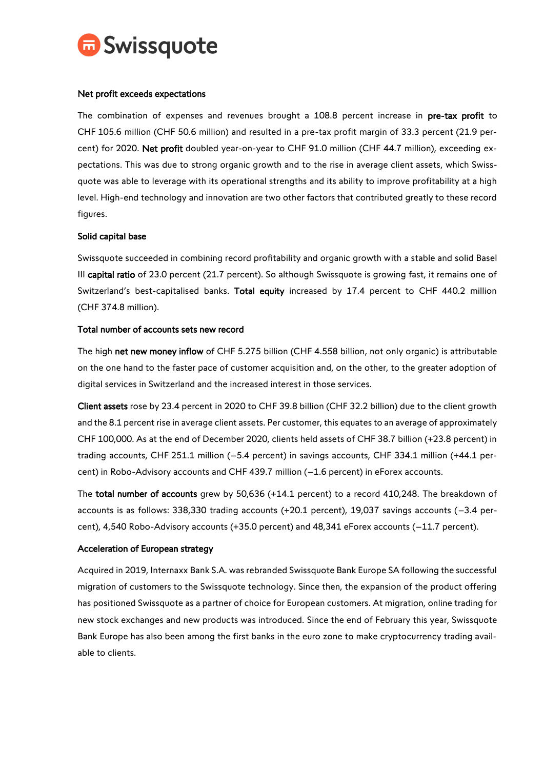

## Net profit exceeds expectations

The combination of expenses and revenues brought a 108.8 percent increase in pre-tax profit to CHF 105.6 million (CHF 50.6 million) and resulted in a pre-tax profit margin of 33.3 percent (21.9 percent) for 2020. Net profit doubled year-on-year to CHF 91.0 million (CHF 44.7 million), exceeding expectations. This was due to strong organic growth and to the rise in average client assets, which Swissquote was able to leverage with its operational strengths and its ability to improve profitability at a high level. High-end technology and innovation are two other factors that contributed greatly to these record figures.

## Solid capital base

Swissquote succeeded in combining record profitability and organic growth with a stable and solid Basel III capital ratio of 23.0 percent (21.7 percent). So although Swissquote is growing fast, it remains one of Switzerland's best-capitalised banks. Total equity increased by 17.4 percent to CHF 440.2 million (CHF 374.8 million).

## Total number of accounts sets new record

The high net new money inflow of CHF 5.275 billion (CHF 4.558 billion, not only organic) is attributable on the one hand to the faster pace of customer acquisition and, on the other, to the greater adoption of digital services in Switzerland and the increased interest in those services.

Client assets rose by 23.4 percent in 2020 to CHF 39.8 billion (CHF 32.2 billion) due to the client growth and the 8.1 percent rise in average client assets. Per customer, this equates to an average of approximately CHF 100,000. As at the end of December 2020, clients held assets of CHF 38.7 billion (+23.8 percent) in trading accounts, CHF 251.1 million (–5.4 percent) in savings accounts, CHF 334.1 million (+44.1 percent) in Robo-Advisory accounts and CHF 439.7 million (–1.6 percent) in eForex accounts.

The total number of accounts grew by 50,636 (+14.1 percent) to a record 410,248. The breakdown of accounts is as follows: 338,330 trading accounts (+20.1 percent), 19,037 savings accounts (–3.4 percent), 4,540 Robo-Advisory accounts (+35.0 percent) and 48,341 eForex accounts (–11.7 percent).

#### Acceleration of European strategy

Acquired in 2019, Internaxx Bank S.A. was rebranded Swissquote Bank Europe SA following the successful migration of customers to the Swissquote technology. Since then, the expansion of the product offering has positioned Swissquote as a partner of choice for European customers. At migration, online trading for new stock exchanges and new products was introduced. Since the end of February this year, Swissquote Bank Europe has also been among the first banks in the euro zone to make cryptocurrency trading available to clients.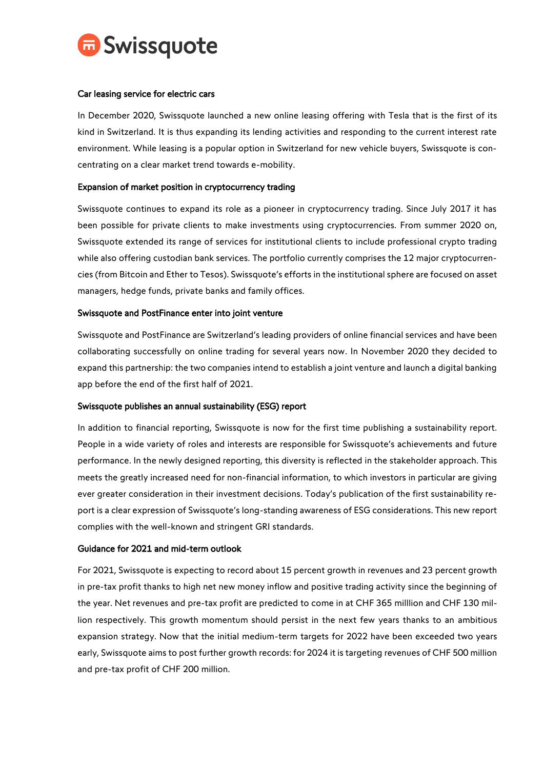

## Car leasing service for electric cars

In December 2020, Swissquote launched a new online leasing offering with Tesla that is the first of its kind in Switzerland. It is thus expanding its lending activities and responding to the current interest rate environment. While leasing is a popular option in Switzerland for new vehicle buyers, Swissquote is concentrating on a clear market trend towards e-mobility.

## Expansion of market position in cryptocurrency trading

Swissquote continues to expand its role as a pioneer in cryptocurrency trading. Since July 2017 it has been possible for private clients to make investments using cryptocurrencies. From summer 2020 on, Swissquote extended its range of services for institutional clients to include professional crypto trading while also offering custodian bank services. The portfolio currently comprises the 12 major cryptocurrencies (from Bitcoin and Ether to Tesos). Swissquote's efforts in the institutional sphere are focused on asset managers, hedge funds, private banks and family offices.

#### Swissquote and PostFinance enter into joint venture

Swissquote and PostFinance are Switzerland's leading providers of online financial services and have been collaborating successfully on online trading for several years now. In November 2020 they decided to expand this partnership: the two companies intend to establish a joint venture and launch a digital banking app before the end of the first half of 2021.

#### Swissquote publishes an annual sustainability (ESG) report

In addition to financial reporting, Swissquote is now for the first time publishing a sustainability report. People in a wide variety of roles and interests are responsible for Swissquote's achievements and future performance. In the newly designed reporting, this diversity is reflected in the stakeholder approach. This meets the greatly increased need for non-financial information, to which investors in particular are giving ever greater consideration in their investment decisions. Today's publication of the first sustainability report is a clear expression of Swissquote's long-standing awareness of ESG considerations. This new report complies with the well-known and stringent GRI standards.

#### Guidance for 2021 and mid-term outlook

For 2021, Swissquote is expecting to record about 15 percent growth in revenues and 23 percent growth in pre-tax profit thanks to high net new money inflow and positive trading activity since the beginning of the year. Net revenues and pre-tax profit are predicted to come in at CHF 365 milllion and CHF 130 million respectively. This growth momentum should persist in the next few years thanks to an ambitious expansion strategy. Now that the initial medium-term targets for 2022 have been exceeded two years early, Swissquote aims to post further growth records: for 2024 it is targeting revenues of CHF 500 million and pre-tax profit of CHF 200 million.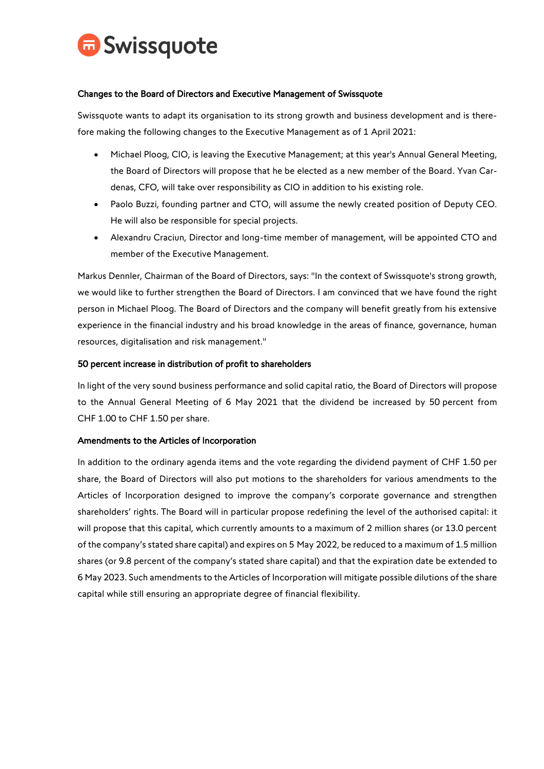

## Changes to the Board of Directors and Executive Management of Swissquote

Swissquote wants to adapt its organisation to its strong growth and business development and is therefore making the following changes to the Executive Management as of 1 April 2021:

- Michael Ploog, CIO, is leaving the Executive Management; at this year's Annual General Meeting, the Board of Directors will propose that he be elected as a new member of the Board. Yvan Cardenas, CFO, will take over responsibility as CIO in addition to his existing role.
- Paolo Buzzi, founding partner and CTO, will assume the newly created position of Deputy CEO. He will also be responsible for special projects.
- Alexandru Craciun, Director and long-time member of management, will be appointed CTO and member of the Executive Management.

Markus Dennler, Chairman of the Board of Directors, says: "In the context of Swissquote's strong growth, we would like to further strengthen the Board of Directors. I am convinced that we have found the right person in Michael Ploog. The Board of Directors and the company will benefit greatly from his extensive experience in the financial industry and his broad knowledge in the areas of finance, governance, human resources, digitalisation and risk management."

## 50 percent increase in distribution of profit to shareholders

In light of the very sound business performance and solid capital ratio, the Board of Directors will propose to the Annual General Meeting of 6 May 2021 that the dividend be increased by 50 percent from CHF 1.00 to CHF 1.50 per share.

#### Amendments to the Articles of Incorporation

In addition to the ordinary agenda items and the vote regarding the dividend payment of CHF 1.50 per share, the Board of Directors will also put motions to the shareholders for various amendments to the Articles of Incorporation designed to improve the company's corporate governance and strengthen shareholders' rights. The Board will in particular propose redefining the level of the authorised capital: it will propose that this capital, which currently amounts to a maximum of 2 million shares (or 13.0 percent of the company's stated share capital) and expires on 5 May 2022, be reduced to a maximum of 1.5 million shares (or 9.8 percent of the company's stated share capital) and that the expiration date be extended to 6 May 2023. Such amendments to the Articles of Incorporation will mitigate possible dilutions of the share capital while still ensuring an appropriate degree of financial flexibility.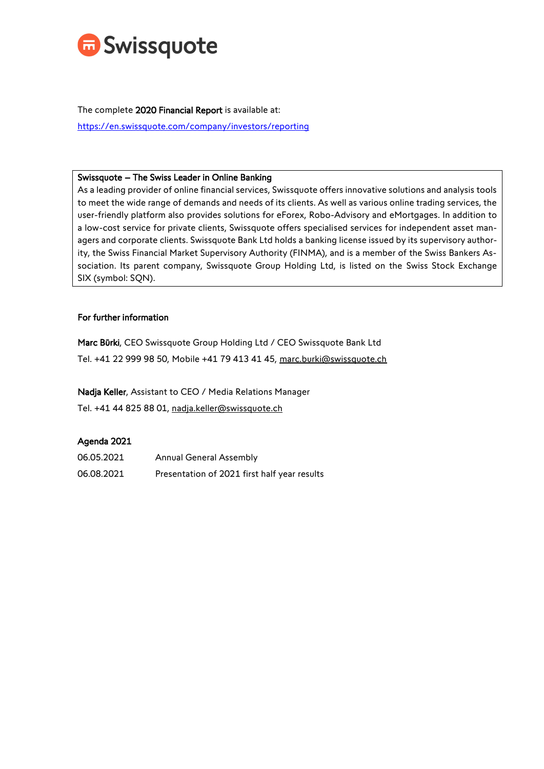

The complete 2020 Financial Report is available at: <https://en.swissquote.com/company/investors/reporting>

### Swissquote – The Swiss Leader in Online Banking

As a leading provider of online financial services, Swissquote offers innovative solutions and analysis tools to meet the wide range of demands and needs of its clients. As well as various online trading services, the user-friendly platform also provides solutions for eForex, Robo-Advisory and eMortgages. In addition to a low-cost service for private clients, Swissquote offers specialised services for independent asset managers and corporate clients. Swissquote Bank Ltd holds a banking license issued by its supervisory authority, the Swiss Financial Market Supervisory Authority (FINMA), and is a member of the Swiss Bankers Association. Its parent company, Swissquote Group Holding Ltd, is listed on the Swiss Stock Exchange SIX (symbol: SQN).

## For further information

Marc Bürki, CEO Swissquote Group Holding Ltd / CEO Swissquote Bank Ltd Tel. +41 22 999 98 50, Mobile +41 79 413 41 45, [marc.burki@swissquote.ch](mailto:marc.burki@swissquote.ch)

Nadja Keller, Assistant to CEO / Media Relations Manager

Tel. +41 44 825 88 01, [nadja.keller@swissquote.ch](mailto:nadja.keller@swissquote.ch)

# Agenda 2021

| 06.05.2021 | <b>Annual General Assembly</b>               |
|------------|----------------------------------------------|
| 06.08.2021 | Presentation of 2021 first half year results |